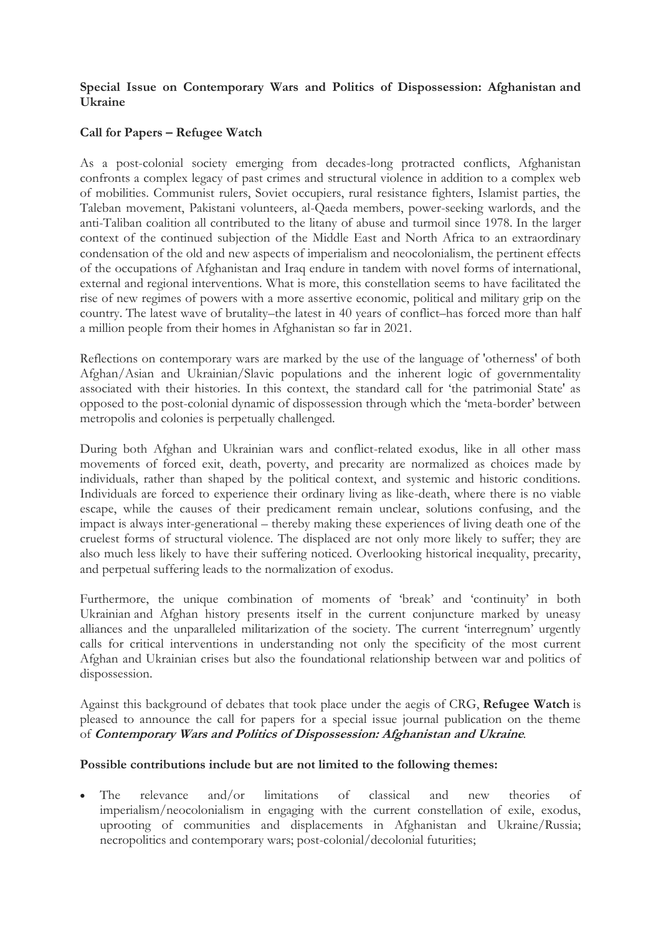## **Special Issue on Contemporary Wars and Politics of Dispossession: Afghanistan and Ukraine**

## **Call for Papers – Refugee Watch**

As a post-colonial society emerging from decades-long protracted conflicts, Afghanistan confronts a complex legacy of past crimes and structural violence in addition to a complex web of mobilities. Communist rulers, Soviet occupiers, rural resistance fighters, Islamist parties, the Taleban movement, Pakistani volunteers, al-Qaeda members, power-seeking warlords, and the anti-Taliban coalition all contributed to the litany of abuse and turmoil since 1978. In the larger context of the continued subjection of the Middle East and North Africa to an extraordinary condensation of the old and new aspects of imperialism and neocolonialism, the pertinent effects of the occupations of Afghanistan and Iraq endure in tandem with novel forms of international, external and regional interventions. What is more, this constellation seems to have facilitated the rise of new regimes of powers with a more assertive economic, political and military grip on the country. The latest wave of brutality–the latest in 40 years of conflict–has forced more than half a million people from their homes in Afghanistan so far in 2021.

Reflections on contemporary wars are marked by the use of the language of 'otherness' of both Afghan/Asian and Ukrainian/Slavic populations and the inherent logic of governmentality associated with their histories. In this context, the standard call for 'the patrimonial State' as opposed to the post-colonial dynamic of dispossession through which the 'meta-border' between metropolis and colonies is perpetually challenged.

During both Afghan and Ukrainian wars and conflict-related exodus, like in all other mass movements of forced exit, death, poverty, and precarity are normalized as choices made by individuals, rather than shaped by the political context, and systemic and historic conditions. Individuals are forced to experience their ordinary living as like-death, where there is no viable escape, while the causes of their predicament remain unclear, solutions confusing, and the impact is always inter-generational – thereby making these experiences of living death one of the cruelest forms of structural violence. The displaced are not only more likely to suffer; they are also much less likely to have their suffering noticed. Overlooking historical inequality, precarity, and perpetual suffering leads to the normalization of exodus.

Furthermore, the unique combination of moments of 'break' and 'continuity' in both Ukrainian and Afghan history presents itself in the current conjuncture marked by uneasy alliances and the unparalleled militarization of the society. The current 'interregnum' urgently calls for critical interventions in understanding not only the specificity of the most current Afghan and Ukrainian crises but also the foundational relationship between war and politics of dispossession.

Against this background of debates that took place under the aegis of CRG, **Refugee Watch** is pleased to announce the call for papers for a special issue journal publication on the theme of **Contemporary Wars and Politics of Dispossession: Afghanistan and Ukraine***.*

## **Possible contributions include but are not limited to the following themes:**

 The relevance and/or limitations of classical and new theories of imperialism/neocolonialism in engaging with the current constellation of exile, exodus, uprooting of communities and displacements in Afghanistan and Ukraine/Russia; necropolitics and contemporary wars; post-colonial/decolonial futurities;